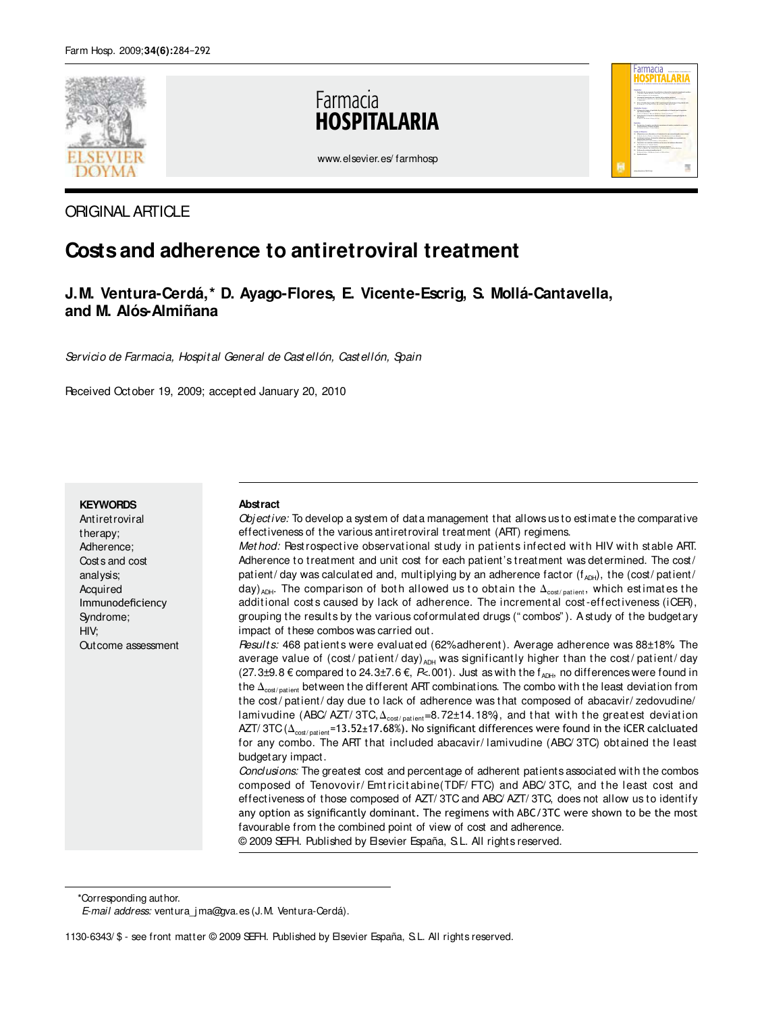

# ORIGINAL ARTICLE

# **Costs and adherence to antiretroviral treatment**

# **J.M. Ventura-Cerdá,\* D. Ayago-Flores, E. Vicente-Escrig, S. Mollá-Cantavella, and M. Alós-Almiñana**

Servicio de Farmacia, Hospital General de Cast ellón, Cast ellón, Spain

Received October 19, 2009; accepted January 20, 2010

### **KEYWORDS**

Antiretroviral therapy; Adherence; Costs and cost analysis; Acquired Immunodeficiency Syndrome; HIV; Outcome assessment

#### **Abstract**

Objective: To develop a system of data management that allows us to estimate the comparative effectiveness of the various antiretroviral treatment (ART) regimens.

Met hod: Rest rospective observational study in patients infected with HIV with stable ART. Adherence to treatment and unit cost for each patient's treatment was determined. The cost/ patient/ day was calculated and, multiplying by an adherence factor  $(f_{ADH})$ , the (cost/ patient/ day)<sub>ADH</sub>. The comparison of both allowed us to obtain the  $\Delta_{\text{cost/patient}}$ , which estimates the additional costs caused by lack of adherence. The incremental cost-effectiveness (iCER), grouping the results by the various coformulated drugs (" combos" ). A study of the budgetary impact of these combos was carried out.

Results: 468 patients were evaluated (62% adherent). Average adherence was 88±18% The average value of (cost/patient/day)<sub>ADH</sub> was significantly higher than the cost/patient/day (27.3±9.8 € compared to 24.3±7.6 €, P<.001). Just as with the  $f_{ADH}$ , no differences were found in the  $\Delta_{\text{cost/pattern}}$  between the different ART combinations. The combo with the least deviation from the cost/ patient/ day due to lack of adherence was that composed of abacavir/ zedovudine/ lamivudine (ABC/ AZT/ 3TC,  $\Delta_{\text{cost}/\text{patient}} = 8.72 \pm 14.18\%$ ), and that with the greatest deviation AZT/ 3TC ( $\Delta_{\text{cost/rotient}}$ =13.52±17.68%). No significant differences were found in the iCER calcluated for any combo. The ART that included abacavir/ lamivudine (ABC/ 3TC) obtained the least budgetary impact.

Conclusions: The greatest cost and percentage of adherent patients associated with the combos composed of Tenovovir/ Emtricitabine(TDF/ FTC) and ABC/ 3TC, and the least cost and effectiveness of those composed of AZT/ 3TC and ABC/ AZT/ 3TC, does not allow us to identify any option as significantly dominant. The regimens with ABC/3TC were shown to be the most favourable from the combined point of view of cost and adherence. © 2009 SEFH. Published by Elsevier España, S.L. All rights reserved.

\*Corresponding author.

E-mail address: ventura\_j ma@gva.es (J.M. Ventura-Cerdá).

<sup>1130-6343/ \$ -</sup> see front matter © 2009 SEFH. Published by Elsevier España, S.L. All rights reserved.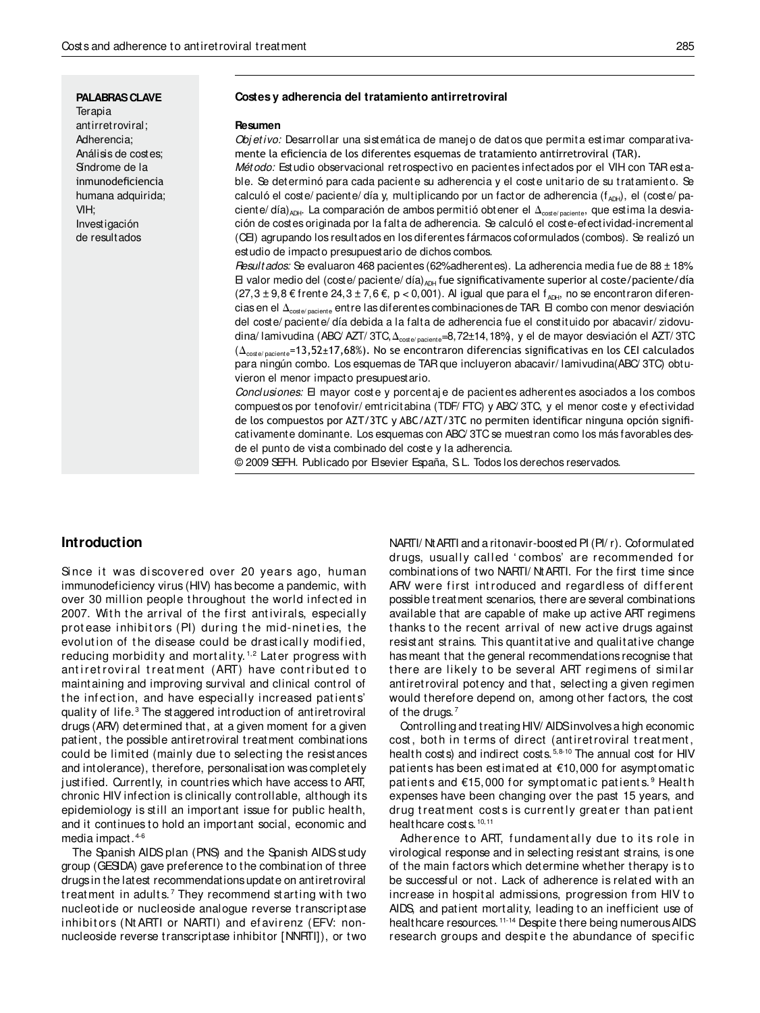#### **PALABRAS CLAVE**

**Terapia** antirretroviral; Adherencia; Análisis de costes; Síndrome de la inmunodeficiencia humana adquirida; VIH; Investigación de resultados

#### **Costes y adherencia del tratamiento antirretroviral**

#### **Resumen**

Objetivo: Desarrollar una sistemática de manejo de datos que permita estimar comparativamente la eficiencia de los diferentes esquemas de tratamiento antirretroviral (TAR).

Mét odo: Estudio observacional retrospectivo en pacientes infectados por el VIH con TAR estable. Se determinó para cada paciente su adherencia y el coste unitario de su tratamiento. Se calculó el coste/ paciente/ día y, multiplicando por un factor de adherencia ( $f_{ADH}$ ), el (coste/ paciente/ día)<sub>ADH</sub>. La comparación de ambos permitió obtener el  $\Delta_{\text{cosel/paciente}}$ , que estima la desviación de costes originada por la falta de adherencia. Se calculó el coste-efectividad-incremental (CEI) agrupando los resultados en los diferentes fármacos coformulados (combos). Se realizó un estudio de impacto presupuestario de dichos combos.

Resultados: Se evaluaron 468 pacientes (62% adherentes). La adherencia media fue de 88 $\pm$ 18% El valor medio del (coste/ paciente/ día)<sub>ADH</sub> fue significativamente superior al coste/paciente/día (27,3 ± 9,8 € frente 24,3 ± 7,6 €, p < 0,001). Al igual que para el f<sub>ADH</sub>, no se encontraron diferencias en el Δ<sub>coste/ paciente</sub> entre las diferentes combinaciones de TAR. El combo con menor desviación del coste/ paciente/ día debida a la falta de adherencia fue el constituido por abacavir/ zidovudina/ lamivudina (ABC/ AZT/ 3TC, Δ<sub>coste/ paciente</sub>=8, 72±14, 18%), y el de mayor desviación el AZT/ 3TC  $(\Delta_{\text{coset~positive}}=13,52\pm17,68\%)$ . No se encontraron diferencias significativas en los CEI calculados para ningún combo. Los esquemas de TAR que incluyeron abacavir/ lamivudina(ABC/ 3TC) obtuvieron el menor impacto presupuestario.

Conclusiones: El mayor coste y porcentaj e de pacientes adherentes asociados a los combos compuestos por tenofovir/ emtricitabina (TDF/ FTC) y ABC/ 3TC, y el menor coste y efectividad de los compuestos por AZT/3TC y ABC/AZT/3TC no permiten identificar ninguna opción significativamente dominante. Los esquemas con ABC/ 3TC se muestran como los más favorables desde el punto de vista combinado del coste y la adherencia.

© 2009 SEFH. Publicado por Elsevier España, S.L. Todos los derechos reservados.

# **Introduction**

Since it was discovered over 20 years ago, human immunodeficiency virus (HIV) has become a pandemic, with over 30 million people t hroughout t he world infect ed in 2007. With the arrival of the first antivirals, especially prot ease inhibit ors (PI) during t he mid-ninet ies, t he evolution of the disease could be drastically modified, reducing morbidity and mortality.<sup>1,2</sup> Later progress with antiret roviral treatment (ART) have contributed to maintaining and improving survival and clinical control of the infection, and have especially increased patients' quality of life. <sup>3</sup> The staggered introduction of antiretroviral drugs (ARV) determined that, at a given moment for a given patient, the possible antiretroviral treatment combinations could be limited (mainly due to selecting the resistances and intolerance), therefore, personalisation was completely j ustified. Currently, in countries which have access to ART, chronic HIV infection is clinically controllable, although its epidemiology is still an important issue for public health, and it continues to hold an important social, economic and media impact. 4-6

The Spanish AIDS plan (PNS) and the Spanish AIDS study group (GESIDA) gave preference to the combination of three drugs in the latest recommendations update on antiretroviral treatment in adults. $^7$  They recommend starting with two nucleotide or nucleoside analogue reverse transcript ase inhibitors (NtARTI or NARTI) and efavirenz (EFV: nonnucleoside reverse transcriptase inhibitor [NNRTI]), or two

NARTI/ NtARTI and a ritonavir-boosted PI (PI/ r). Coformulated drugs, usually called 'combos' are recommended for combinations of two NARTI/ NtARTI. For the first time since ARV were first introduced and regardless of different possible treatment scenarios, there are several combinations available that are capable of make up active ART regimens thanks to the recent arrival of new active drugs against resistant strains. This quantitative and qualitative change has meant that the general recommendations recognise that there are likely to be several ART regimens of similar antiretroviral potency and that, selecting a given regimen would therefore depend on, among other factors, the cost of the drugs.<sup>7</sup>

Controlling and treating HIV/ AIDS involves a high economic cost, both in terms of direct (antiretroviral treatment, health costs) and indirect costs. 5,8-10 The annual cost for HIV patients has been estimated at €10,000 for asymptomatic patients and €15,000 for symptomatic patients.<sup>9</sup> Health expenses have been changing over the past 15 years, and drug treatment costs is currently greater than patient healthcare costs.<sup>10,11</sup>

Adherence to ART, fundamentally due to its role in virological response and in selecting resistant strains, is one of the main factors which determine whether therapy is to be successful or not. Lack of adherence is related with an increase in hospital admissions, progression from HIV to AIDS, and patient mortality, leading to an inefficient use of healthcare resources.<sup>11-14</sup> Despite there being numerous AIDS research groups and despite the abundance of specific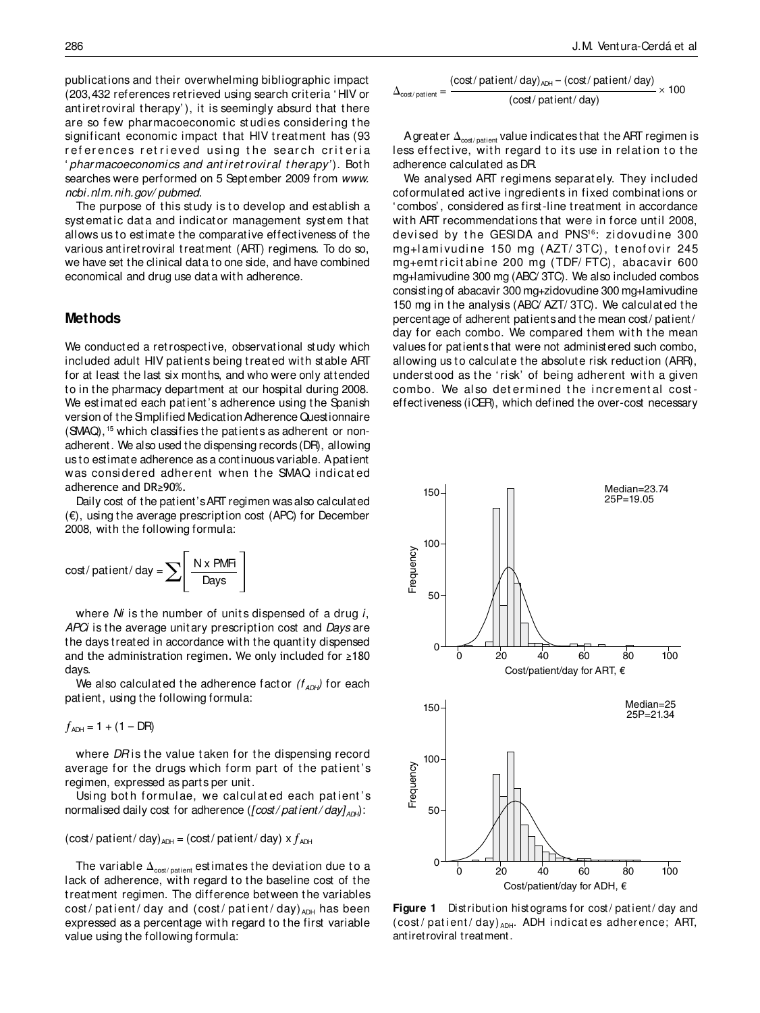publications and their overwhelming bibliographic impact (203,432 references retrieved using search criteria ' HIV or antiretroviral therapy' ), it is seemingly absurd that there are so few pharmacoeconomic st udies considering t he significant economic impact that HIV treatment has (93 references retrieved using the search criteria ' pharmacoeconomics and antiret roviral therapy'). Both searches were performed on 5 September 2009 from www. ncbi.nlm.nih.gov/ pubmed.

The purpose of this study is to develop and est ablish a systematic data and indicator management system that allows us to estimate the comparative effectiveness of the various antiretroviral treatment (ART) regimens. To do so, we have set the clinical data to one side, and have combined economical and drug use data with adherence.

## **Methods**

We conducted a retrospective, observational study which included adult HIV patients being treated with stable ART for at least the last six months, and who were only attended to in the pharmacy department at our hospital during 2008. We estimated each patient's adherence using the Spanish version of the Simplified Medication Adherence Questionnaire (SMAQ), <sup>15</sup> which classifies the patients as adherent or nonadherent. We also used the dispensing records (DR), allowing us to estimate adherence as a continuous variable. A patient was considered adherent when the SMAQ indicated adherence and DR≥90%.

Daily cost of the patient's ART regimen was also calculated  $(\epsilon)$ , using the average prescription cost (APC) for December 2008, with the following formula:

$$
\cos l / \text{patient} / \text{day} = \sum \left[ \frac{N \times \text{PMF}}{\text{Days}} \right]
$$

where  $N_i$  is the number of units dispensed of a drug  $i$ , APCi is the average unitary prescription cost and Days are the days treated in accordance with the quantity dispensed and the administration regimen. We only included for ≥180 days.

We also calculated the adherence factor  $(f_{ADH})$  for each patient, using the following formula:

 $f_{ADH} = 1 + (1 - DR)$ 

where DR is the value taken for the dispensing record average for the drugs which form part of the patient's regimen, expressed as parts per unit.

Using both formulae, we calculated each patient's normalised daily cost for adherence ( $[cost/patient/day]_{ADH}$ ):

(cost/patient/day)<sub>ADH</sub> = (cost/patient/day)  $x f_{ADH}$ 

The variable  $\Delta_{cost/patient}$  estimates the deviation due to a lack of adherence, with regard to the baseline cost of the treatment regimen. The difference between the variables cost/patient/day and (cost/patient/day)<sub>ADH</sub> has been expressed as a percentage with regard to the first variable value using the following formula:

$$
= \frac{(\cos t / \text{ patient}/\text{day})_{\text{ADH}} - (\cos t / \text{ patient}/\text{day})}{2} \times 100
$$

(cost/ patient/ day)

A greater  $\Delta_{\text{cost/pattern}}$  value indicates that the ART regimen is less effective, with regard to its use in relation to the adherence calculated as DR.

 $\Delta_{\mathsf{cost}/\mathsf{patient}}$ 

We analysed ART regimens separat ely. They included coformulated active ingredients in fixed combinations or ' combos' , considered as first-line treatment in accordance with ART recommendations that were in force until 2008, devi sed by t he GESIDA and PNS<sup>16</sup>: zidovudine 300 mg+lamivudine 150 mg (AZT/3TC), tenofovir 245  $mg+emtricit abine 200 mg (TDF/FTC)$ , abacavir 600 mg+lamivudine 300 mg (ABC/ 3TC). We also included combos consisting of abacavir 300 mg+zidovudine 300 mg+lamivudine 150 mg in the analysis (ABC/ AZT/ 3TC). We calculated the percentage of adherent patients and the mean cost/ patient/ day for each combo. We compared them with the mean values for patients that were not administered such combo, allowing us to calculate the absolute risk reduction (ARR), underst ood as the 'risk' of being adherent with a given combo. We also determined the incremental costeffectiveness (iCER), which defined the over-cost necessary



**Figure 1** Distribution histograms for cost/patient/day and (cost/patient/day)  $_{ADH}$ . ADH indicates adherence; ART, antiretroviral treatment.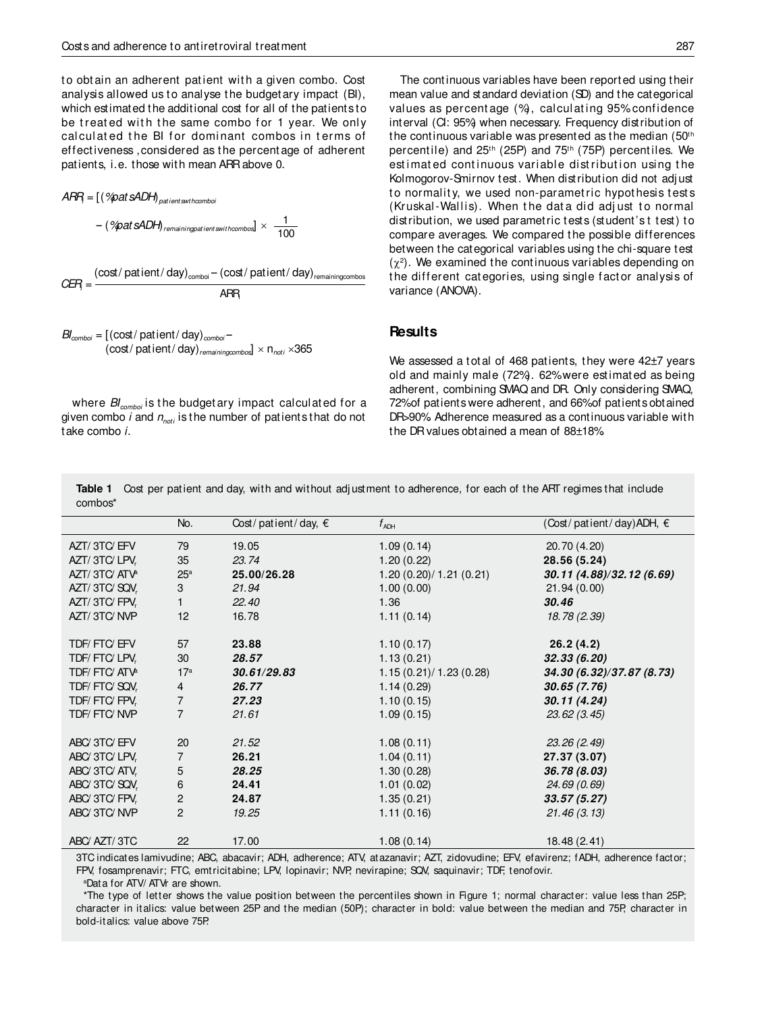to obtain an adherent patient with a given combo. Cost analysis allowed us to analyse the budgetary impact (BI), which estimated the additional cost for all of the patients to be treated with the same combo for 1 year. We only cal culated the BI for dominant combos in terms of effect iveness ,considered as t he percent age of adherent patients, i.e. those with mean ARR above 0.

ARR = [(%pat sADH)<sub>pat ient swt hcomboi</sub>  $-$  (  $%$  ( $\varphi$  at SADH)  $_{remaining patient}$  swithcombos  $1 \times 100$ 1

 $C\!E\!R =$ **ARR** (cost/patient/day)<sub>comboi</sub> - (cost/patient/day)<sub>remainingcombos</sub>

 $Bl_{\text{comboi}} = [(\text{cost}/\text{patient}/\text{day})_{\text{comboi}} (cost/$  patient/ day)<sub>remainingcombos</sub>  $\times$  n<sub>noti</sub>  $\times$ 365

where  $B_{\text{comboi}}$  is the budget ary impact calculated for a given combo i and  $n_{\text{not}}$  is the number of patients that do not take combo i.

The continuous variables have been reported using their mean value and standard deviation (SD) and the categorical values as percentage (%), calculating 95% confidence interval (CI: 95%) when necessary. Frequency distribution of the continuous variable was presented as the median (50<sup>th</sup> percentile) and 25<sup>th</sup> (25P) and 75<sup>th</sup> (75P) percentiles. We estimated continuous variable distribution using the Kolmogorov-Smirnov test. When distribution did not adj ust to normality, we used non-parametric hypothesis tests (Kruskal-Wallis). When the data did adjust to normal distribution, we used parametric tests (student's t test) to compare averages. We compared the possible differences between the categorical variables using the chi-square test  $(\chi^2)$ . We examined the continuous variables depending on t he different cat egories, using single fact or analysis of variance (ANOVA).

# **Results**

We assessed a total of 468 patients, they were 42±7 years old and mainly male (72%). 62% were est imat ed as being adherent, combining SMAQ and DR. Only considering SMAQ, 72% of patients were adherent, and 66% of patients obtained DR>90% Adherence measured as a continuous variable with the DR values obtained a mean of 88±18%.

**Table 1** Cost per patient and day, with and without adj ustment to adherence, for each of the ART regimes that include combos\*

|                            | No.                     | Cost/patient/day, $\epsilon$<br>$f_{ADH}$ |                       | $(Cost/$ patient/day) ADH, $\epsilon$ |  |
|----------------------------|-------------------------|-------------------------------------------|-----------------------|---------------------------------------|--|
| AZT/3TC/EFV                | 79                      | 19.05                                     | 1.09(0.14)            | 20.70 (4.20)                          |  |
| AZT/3TC/LPV.               | 35                      | 23.74                                     | 1.20(0.22)            | 28.56 (5.24)                          |  |
| AZT/3TC/ATV                | 25 <sup>a</sup>         | 25.00/26.28                               | 1.20(0.20)/1.21(0.21) | 30.11 (4.88)/32.12 (6.69)             |  |
| AZT/3TC/SQV                | 3                       | 21.94                                     | 1.00(0.00)            | 21.94(0.00)                           |  |
| AZT/3TC/FPV,               |                         | 22.40                                     | 1.36                  | 30.46                                 |  |
| AZT/3TC/NVP                | 12                      | 16.78                                     | 1.11(0.14)            | 18.78 (2.39)                          |  |
|                            |                         |                                           |                       |                                       |  |
| TDF/FTC/EFV                | 57                      | 23.88                                     | 1.10(0.17)            | 26.2(4.2)                             |  |
| TDF/FTC/LPV,               | 30                      | 28.57                                     | 1.13(0.21)            | 32.33(6.20)                           |  |
| TDF/ FTC/ ATV <sup>a</sup> | 17 <sup>a</sup>         | 30.61/29.83                               | 1.15(0.21)/1.23(0.28) | 34.30 (6.32)/37.87 (8.73)             |  |
| TDF/FTC/SQV <sub>r</sub>   | $\overline{4}$          | 26.77                                     | 1.14(0.29)            | 30.65 (7.76)                          |  |
| TDF/FTC/FPV,               | $\overline{7}$          | 27.23                                     | 1.10(0.15)            | 30.11(4.24)                           |  |
| TDF/FTC/NVP                | $\overline{7}$          | 21.61                                     | 1.09(0.15)            | 23.62(3.45)                           |  |
|                            |                         |                                           |                       |                                       |  |
| ABC/3TC/EFV                | 20                      | 21.52                                     | 1.08(0.11)            | 23.26(2.49)                           |  |
| ABC/3TC/LPV,               | $\overline{7}$          | 26.21                                     | 1.04(0.11)            | 27.37 (3.07)                          |  |
| ABC/3TC/ATV                | 5                       | 28.25                                     | 1.30(0.28)            | 36.78 (8.03)                          |  |
| ABC/3TC/SQV                | 6                       | 24.41                                     | 1.01(0.02)            | 24.69 (0.69)                          |  |
| ABC/3TC/FPV,               | $\overline{\mathbf{c}}$ | 24.87                                     | 1.35(0.21)            | 33.57 (5.27)                          |  |
| ABC/3TC/NVP                | 2                       | 19.25                                     | 1.11(0.16)            | 21.46(3.13)                           |  |
|                            |                         |                                           |                       |                                       |  |
| ABC/ AZT/3TC               | 22                      | 17.00                                     | 1.08(0.14)            | 18.48(2.41)                           |  |

3TC indicates lamivudine; ABC, abacavir; ADH, adherence; ATV, atazanavir; AZT, zidovudine; EFV, efavirenz; fADH, adherence factor; FPV, fosamprenavir; FTC, emtricitabine; LPV, lopinavir; NVP, nevirapine; SQV, saquinavir; TDF, tenofovir.

aData for ATV/ ATVr are shown.

\*The type of letter shows the value position between the percentiles shown in Figure 1; normal character: value less than 25P; character in italics: value between 25P and the median (50P); character in bold: value between the median and 75P, character in bold-italics: value above 75P.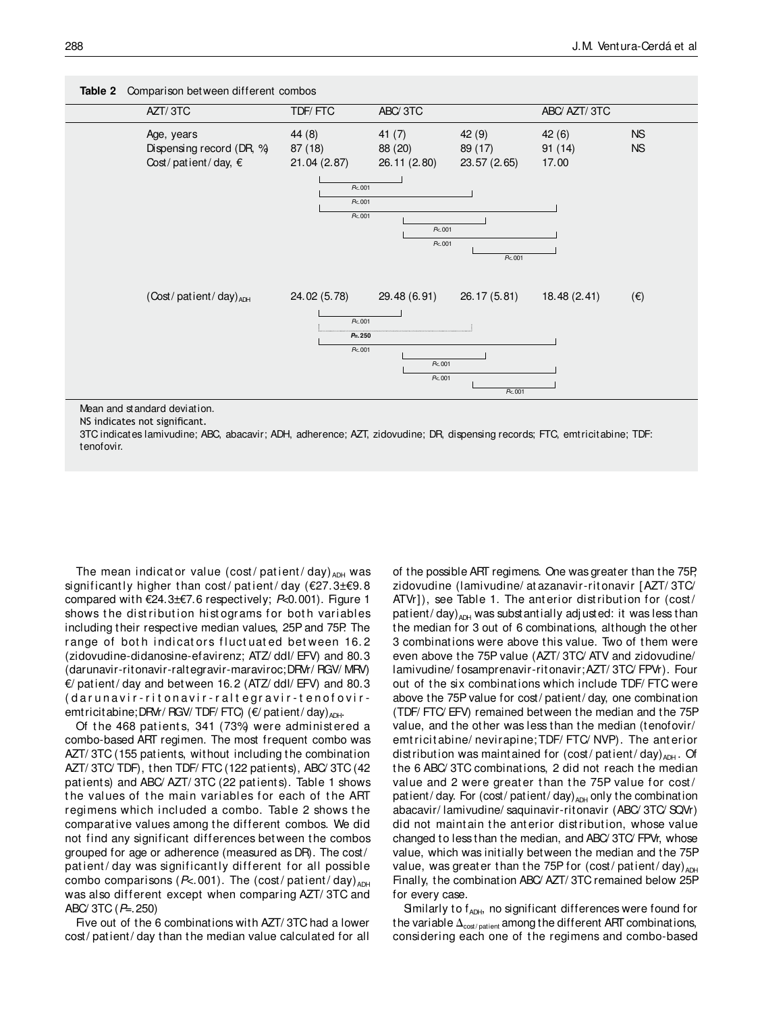

NS indicates not significant.

3TC indicates lamivudine; ABC, abacavir; ADH, adherence; AZT, zidovudine; DR, dispensing records; FTC, emtricitabine; TDF: tenofovir.

The mean indicator value (cost/patient/day)<sub>ADH</sub> was significantly higher than cost/patient/day ( $\epsilon$ 27.3± $\epsilon$ 9.8 compared with €24.3±€7.6 respectively;  $P<0.001$ ). Figure 1 shows the distribution histograms for both variables including their respective median values, 25P and 75P. The range of both indicators fluctuated between 16.2 (zidovudine-didanosine-efavirenz; ATZ/ ddI/ EFV) and 80.3 (darunavir-ritonavir-raltegravir-maraviroc;DRVr/ RGV/ MRV)  $E$  patient/day and between 16.2 (ATZ/ddl/EFV) and 80.3 (darunavir-rit onavir-ralt egravir-t enof oviremtricitabine;DRVr/ RGV/ TDF/ FTC) (€/ patient/ day)<sub>ADH</sub>.

Of the 468 patients, 341 (73%) were administered a combo-based ART regimen. The most frequent combo was AZT/ 3TC (155 patients, without including the combination AZT/ 3TC/ TDF), then TDF/ FTC (122 patients), ABC/ 3TC (42 patients) and ABC/AZT/3TC (22 patients). Table 1 shows the values of the main variables for each of the ART regimens which included a combo. Table 2 shows t he comparative values among the different combos. We did not find any significant differences bet ween t he combos grouped for age or adherence (measured as DR). The cost/ patient/day was significantly different for all possible combo comparisons ( $P<$ .001). The (cost/patient/day)<sub>ADH</sub> was also different except when comparing AZT/ 3TC and ABC/  $3TC$  ( $P=250$ )

Five out of the 6 combinations with AZT/ 3TC had a lower cost/ patient/ day than the median value calculated for all of the possible ART regimens. One was greater than the 75P, zidovudine (lamivudine/ at azanavir-rit onavir [AZT/ 3TC/ ATVr]), see Table 1. The anterior distribution for (cost/ patient/day)<sub>ADH</sub> was substantially adjusted: it was less than the median for 3 out of 6 combinations, although the other 3 combinations were above this value. Two of them were even above the 75P value (AZT/ 3TC/ ATV and zidovudine/ lamivudine/ fosamprenavir-ritonavir;AZT/ 3TC/ FPVr). Four out of the six combinations which include TDF/ FTC were above the 75P value for cost/ patient/ day, one combination (TDF/ FTC/ EFV) remained between the median and the 75P value, and the other was less than the median (tenofovir/ emt ricit abine/ nevirapine;TDF/ FTC/ NVP). The ant erior distribution was maintained for (cost/patient/day)<sub>ADH</sub>. Of the 6 ABC/ 3TC combinations, 2 did not reach the median value and 2 were greater than the 75P value for cost/ patient/ day. For (cost/ patient/ day) $_{APH}$  only the combination abacavir/ lamivudine/ saquinavir-ritonavir (ABC/ 3TC/ SQVr) did not maintain the anterior distribution, whose value changed to less than the median, and ABC/ 3TC/ FPVr, whose value, which was initially between the median and the 75P value, was greater than the 75P for (cost/patient/day) $_{ADH}$ Finally, the combination ABC/ AZT/ 3TC remained below 25P for every case.

Similarly to  $f_{ADH}$ , no significant differences were found for the variable  $\Delta_{\rm cost/pattern}$  among the different ART combinations, considering each one of t he regimens and combo-based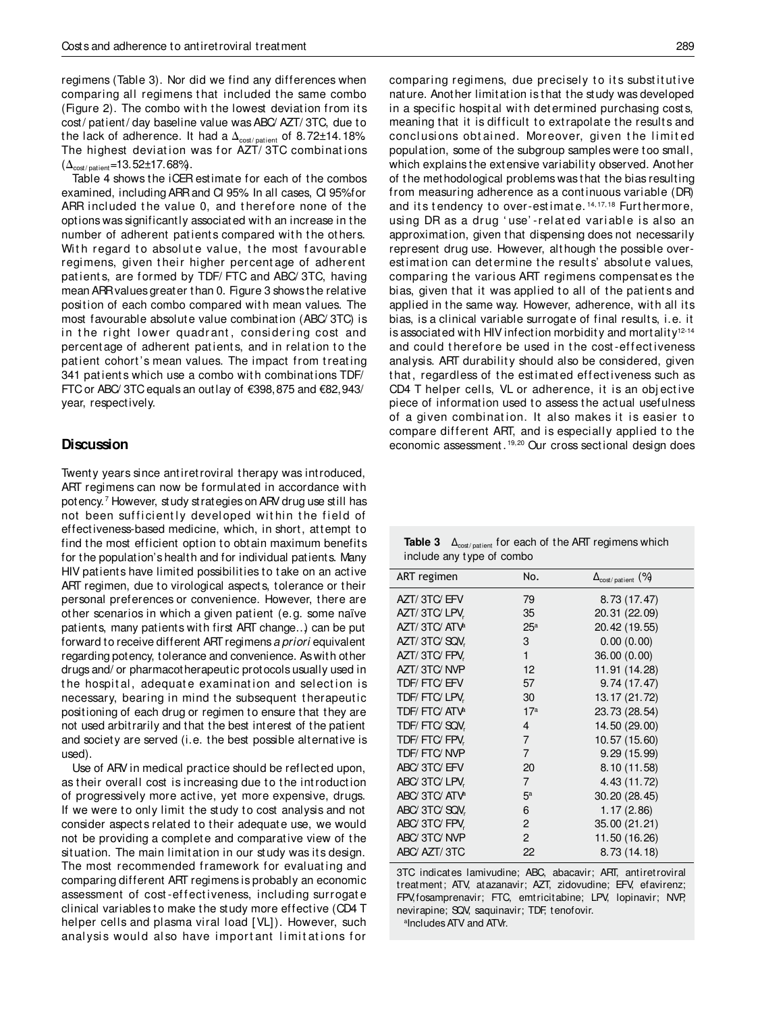regimens (Table 3). Nor did we find any differences when comparing all regimens that included the same combo (Figure 2). The combo with the lowest deviation from its cost/ patient/ day baseline value was ABC/ AZT/ 3TC, due to the lack of adherence. It had a  $\Delta_{\text{cost/patient}}$  of 8.72±14.18% The highest deviation was for AZT/3TC combinations  $(\Delta_{\text{cost}/\text{patient}}=13.52\pm17.68\%$ .

Table 4 shows the iCER estimate for each of the combos examined, including ARR and CI 95%. In all cases, CI 95% for ARR included the value 0, and therefore none of the options was significantly associated with an increase in the number of adherent patients compared with the others. With regard to absolute value, the most favourable regimens, given their higher percentage of adherent patients, are formed by TDF/ FTC and ABC/ 3TC, having mean ARR values greater than 0. Figure 3 shows the relative position of each combo compared with mean values. The most favourable absolute value combination (ABC/ 3TC) is in the right lower quadrant, considering cost and percent age of adherent patients, and in relation to the patient cohort's mean values. The impact from treating 341 patients which use a combo with combinations TDF/ FTC or ABC/ 3TC equals an outlay of €398,875 and €82,943/ year, respectively.

# **Discussion**

Twenty years since antiretroviral therapy was introduced, ART regimens can now be formulated in accordance with potency. <sup>7</sup> However, study strategies on ARV drug use still has not been sufficiently developed within the field of effectiveness-based medicine, which, in short, attempt to find the most efficient option to obtain maximum benefits for the population's health and for individual patients. Many HIV patients have limited possibilities to take on an active ART regimen, due to virological aspects, tolerance or their personal preferences or convenience. However, there are other scenarios in which a given patient (e.g. some naïve patients, many patients with first ART change…) can be put forward to receive different ART regimens a priori equivalent regarding potency, tolerance and convenience. As with other drugs and/ or pharmacotherapeutic protocols usually used in t he hospit al, adequat e examinat ion and select ion is necessary, bearing in mind the subsequent therapeutic positioning of each drug or regimen to ensure that they are not used arbitrarily and that the best interest of the patient and society are served (i.e. the best possible alternative is used).

Use of ARV in medical practice should be reflected upon, as their overall cost is increasing due to the introduction of progressively more active, yet more expensive, drugs. If we were to only limit the study to cost analysis and not consider aspects related to their adequate use, we would not be providing a complete and comparative view of the situation. The main limitation in our study was its design. The most recommended framework for evaluating and comparing different ART regimens is probably an economic assessment of cost-effectiveness, including surrogate clinical variables to make the study more effective (CD4 T helper cells and plasma viral load [VL]). However, such analysis would also have important limitations for comparing regimens, due precisely to its substitutive nature. Another limitation is that the study was developed in a specific hospital with determined purchasing costs, meaning that it is difficult to extrapolate the results and conclusions obtained. Moreover, given the limited population, some of the subgroup samples were too small, which explains the extensive variability observed. Another of the methodological problems was that the bias resulting from measuring adherence as a continuous variable (DR) and its tendency to over-estimate.<sup>14,17,18</sup> Furthermore, using DR as a drug 'use'-related variable is also an approximation, given that dispensing does not necessarily represent drug use. However, although the possible overestimation can determine the results' absolute values, comparing t he various ART regimens compensat es t he bias, given that it was applied to all of the patients and applied in the same way. However, adherence, with all its bias, is a clinical variable surrogate of final results, i.e. it is associated with HIV infection morbidity and mortality<sup>12-14</sup> and could therefore be used in the cost-effectiveness analysis. ART durability should also be considered, given that, regardless of the estimated effectiveness such as CD4 T helper cells, VL or adherence, it is an objective piece of information used to assess the actual usefulness of a given combination. It also makes it is easier to compare different ART, and is especially applied to the economic assessment. 19,20 Our cross sectional design does

**Table 3**  $\Delta_{\text{cost/patient}}$  for each of the ART regimens which include any type of combo

| ART regimen              | No.             | $\Delta_{\text{cost/patient}}$ (%) |
|--------------------------|-----------------|------------------------------------|
| AZT/3TC/EFV              | 79              | 8.73 (17.47)                       |
| AZT/3TC/LPV.             | 35              | 20.31 (22.09)                      |
| AZT/3TC/ATV <sup>a</sup> | 25 <sup>a</sup> | 20.42 (19.55)                      |
| AZT/3TC/SQV              | 3               | 0.00(0.00)                         |
| AZT/3TC/FPV <sub>r</sub> | $\mathbf{1}$    | 36.00 (0.00)                       |
| AZT/3TC/NVP              | 12              | 11.91 (14.28)                      |
| TDF/FTC/EFV              | 57              | 9.74(17.47)                        |
| TDF/FTC/LPV.             | 30              | 13.17 (21.72)                      |
| <b>TDF/FTC/ATV</b>       | 17 <sup>a</sup> | 23.73 (28.54)                      |
| TDF/FTC/SQV,             | 4               | 14.50 (29.00)                      |
| TDF/FTC/FPV,             | 7               | 10.57 (15.60)                      |
| <b>TDF/FTC/NVP</b>       | 7               | 9.29(15.99)                        |
| ABC/3TC/EFV              | 20              | 8.10 (11.58)                       |
| ABC/3TC/LPV,             | 7               | 4.43 (11.72)                       |
| ABC/3TC/ATV              | 5 <sup>a</sup>  | 30.20 (28.45)                      |
| ABC/ 3TC/ SQV            | 6               | 1.17(2.86)                         |
| ABC/3TC/FPV.             | $\overline{c}$  | 35.00 (21.21)                      |
| ABC/3TC/NVP              | 2               | 11.50 (16.26)                      |
| ABC/AZT/3TC              | 22              | 8.73 (14.18)                       |

3TC indicates lamivudine; ABC, abacavir; ART, antiretroviral treatment; ATV, atazanavir; AZT, zidovudine; EFV, efavirenz; FPV,fosamprenavir; FTC, emtricitabine; LPV, lopinavir; NVP, nevirapine; SQV, saquinavir; TDF, tenofovir. a Includes ATV and ATVr.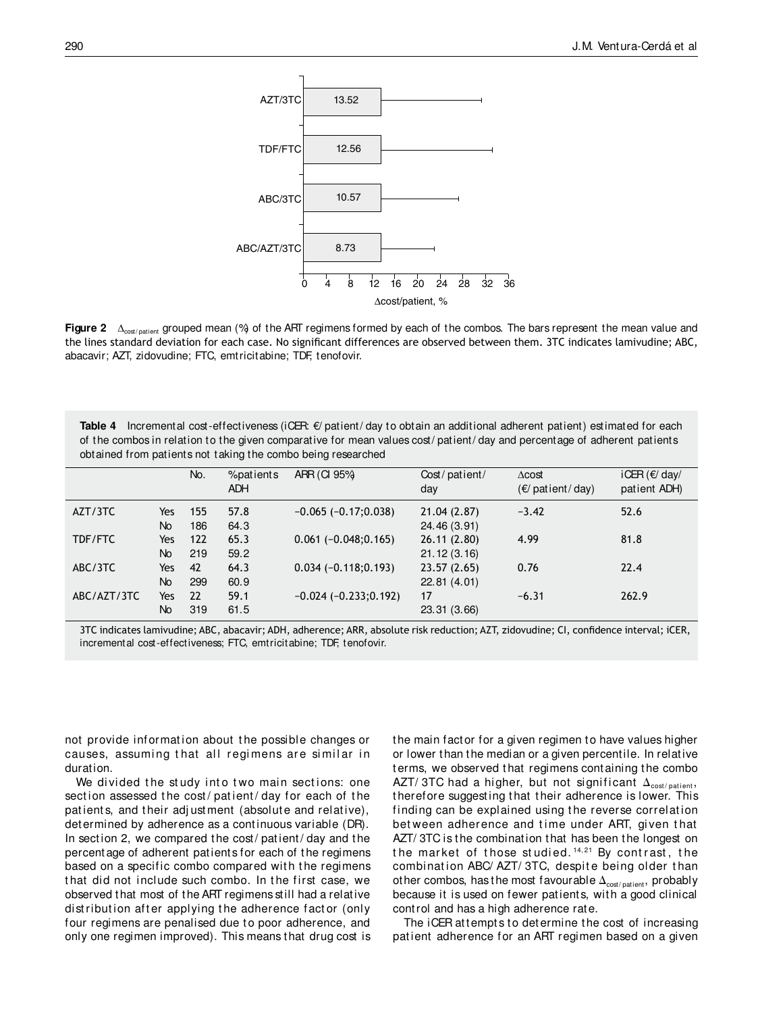

**Figure 2** ∆<sub>cost/ patient</sub> grouped mean (%) of the ART regimens formed by each of the combos. The bars represent the mean value and the lines standard deviation for each case. No significant differences are observed between them. 3TC indicates lamivudine; ABC, abacavir; AZT, zidovudine; FTC, emtricitabine; TDF, tenofovir.

**Table 4** Incremental cost-effectiveness (iCER: €/ patient/ day to obtain an additional adherent patient) estimated for each of the combos in relation to the given comparative for mean values cost/ patient/ day and percentage of adherent patients obtained from patients not taking the combo being researched

|             |                  | No.        | %patients<br><b>ADH</b> | ARR (CI 95%)                | Cost/patient/<br>day         | $\Delta$ cost<br>$(\epsilon)$ patient/day) | $iCER$ ( $\epsilon$ / day/<br>patient ADH) |
|-------------|------------------|------------|-------------------------|-----------------------------|------------------------------|--------------------------------------------|--------------------------------------------|
| AZT/3TC     | Yes<br><b>No</b> | 155<br>186 | 57.8<br>64.3            | $-0.065$ ( $-0.17;0.038$ )  | 21.04 (2.87)<br>24.46 (3.91) | $-3.42$                                    | 52.6                                       |
| TDF/FTC     | Yes<br><b>No</b> | 122<br>219 | 65.3<br>59.2            | $0.061 (-0.048; 0.165)$     | 26.11(2.80)<br>21.12(3.16)   | 4.99                                       | 81.8                                       |
| ABC/3TC     | Yes<br><b>No</b> | 42<br>299  | 64.3<br>60.9            | $0.034(-0.118;0.193)$       | 23.57(2.65)<br>22.81 (4.01)  | 0.76                                       | 22.4                                       |
| ABC/AZT/3TC | Yes<br><b>No</b> | 22<br>319  | 59.1<br>61.5            | $-0.024$ ( $-0.233;0.192$ ) | 17<br>23.31 (3.66)           | $-6.31$                                    | 262.9                                      |

3TC indicates lamivudine; ABC, abacavir; ADH, adherence; ARR, absolute risk reduction; AZT, zidovudine; CI, conidence interval; iCER, incremental cost-effectiveness; FTC, emtricitabine; TDF, tenofovir.

not provide informat ion about t he possible changes or causes, assuming that all regimens are similar in duration.

We divided the study into two main sections: one section assessed the cost/patient/day for each of the patients, and their adjustment (absolute and relative), det ermined by adherence as a continuous variable (DR). In section 2, we compared the cost/patient/day and the percentage of adherent patients for each of the regimens based on a specific combo compared with the regimens that did not include such combo. In the first case, we observed that most of the ART regimens still had a relative dist ribution after applying the adherence factor (only four regimens are penalised due to poor adherence, and only one regimen improved). This means that drug cost is the main factor for a given regimen to have values higher or lower than the median or a given percentile. In relative terms, we observed that regimens containing the combo AZT/ 3TC had a higher, but not significant  $\Delta_{cost/partial}$ , therefore suggesting that their adherence is lower. This finding can be explained using the reverse correlation bet ween adherence and time under ART, given that AZT/3TC is the combination that has been the longest on the market of those studied.<sup>14,21</sup> By contrast, the combination ABC/ AZT/ 3TC, despite being older than other combos, has the most favourable  $\Delta_{\text{cost/patient}}$ , probably because it is used on fewer patients, with a good clinical control and has a high adherence rate.

The iCER attempts to determine the cost of increasing patient adherence for an ART regimen based on a given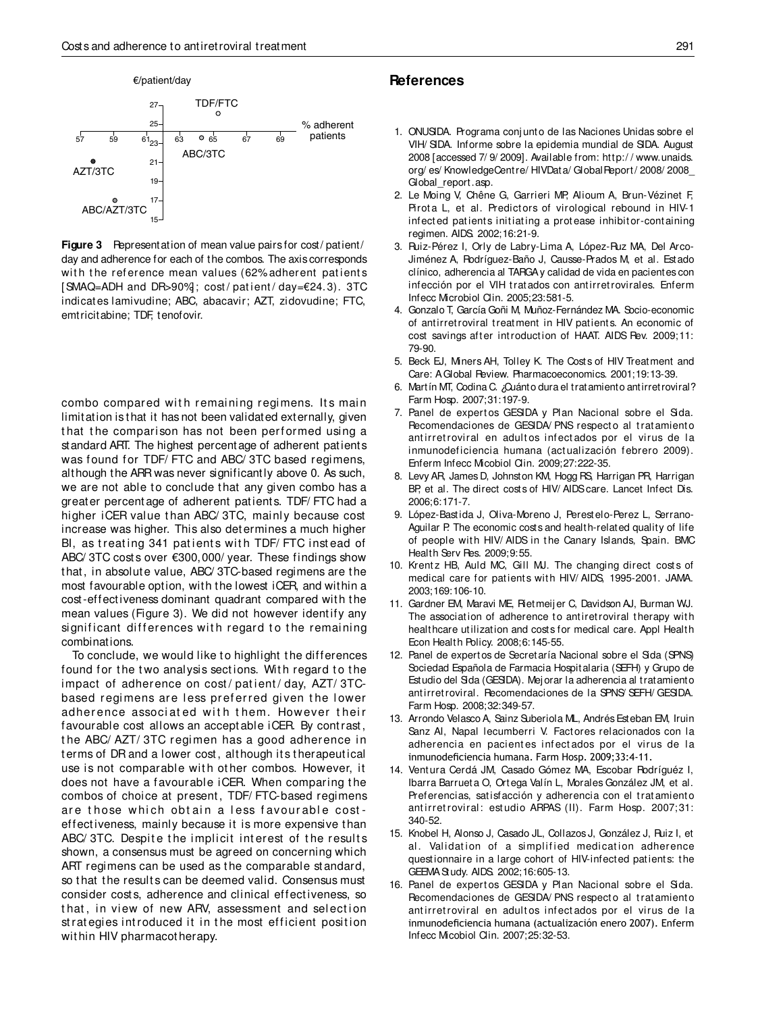#### €/patient/day



**Figure 3** Pepresentation of mean value pairs for cost/patient/ day and adherence for each of the combos. The axis corresponds with the reference mean values (62% adherent patients [ SMAQ=ADH and DR>90%] ; cost / pat ient / day=€24. 3). 3TC indicat es lamivudine; ABC, abacavir; AZT, zidovudine; FTC, emtricitabine; TDF, tenofovir.

combo compared with remaining regimens. Its main limitation is that it has not been validated externally, given that the comparison has not been performed using a standard ART. The highest percentage of adherent patients was found for TDF/ FTC and ABC/ 3TC based regimens, although the ARR was never significantly above 0. As such, we are not able to conclude that any given combo has a greater percentage of adherent patients. TDF/ FTC had a higher iCER value than ABC/3TC, mainly because cost increase was higher. This also det ermines a much higher BI, as treating 341 patients with TDF/ FTC instead of ABC/ 3TC cost s over €300,000/ year. These findings show that, in absolute value, ABC/ 3TC-based regimens are the most favourable option, with the lowest iCER, and within a cost-effectiveness dominant quadrant compared with the mean values (Figure 3). We did not however identify any significant differences with regard to the remaining combinations.

To conclude, we would like to highlight the differences found for the two analysis sections. With regard to the impact of adherence on cost/patient/day, AZT/3TCbased regimens are less preferred given the lower adherence associated with them. However their favourable cost allows an accept able iCER. By cont rast , t he ABC/ AZT/ 3TC regimen has a good adherence in terms of DR and a lower cost, although its therapeutical use is not comparable with other combos. However, it does not have a favourable iCER. When comparing the combos of choice at present, TDF/ FTC-based regimens are those which obtain a less favourable costeffectiveness, mainly because it is more expensive than ABC/ 3TC. Despite the implicit interest of the results shown, a consensus must be agreed on concerning which ART regimens can be used as the comparable standard, so that the results can be deemed valid. Consensus must consider cost s, adherence and clinical effect iveness, so t hat , in view of new ARV, assessment and sel ect ion strategies introduced it in the most efficient position wit hin HIV pharmacot herapy.

#### **References**

- 1. ONUSIDA. Programa conj unto de las Naciones Unidas sobre el VIH/ SIDA. Informe sobre la epidemia mundial de SIDA. August 2008 [accessed 7/ 9/ 2009]. Available from: http:/ / www.unaids. org/ es/ KnowledgeCentre/ HIVData/ Global Peport/ 2008/ 2008\_ Global report.asp.
- 2. Le Moing V, Chêne G, Garrieri MP, Alioum A, Brun-Vézinet F, Pirota L, et al. Predictors of virological rebound in HIV-1 infected patients initiating a protease inhibitor-containing regimen. AIDS. 2002;16:21-9.
- 3. Ruiz-Pérez I, Orly de Labry-Lima A, López-Ruz MA, Del Arco-Jiménez A, Rodríguez-Baño J, Causse-Prados M, et al. Estado clínico, adherencia al TARGA y calidad de vida en pacientes con infección por el VIH tratados con antirretrovirales. Enferm Infecc Microbiol Clin. 2005;23:581-5.
- 4. Gonzalo T, García Goñi M, Muñoz-Fernández MA. Socio-economic of antirretroviral treatment in HIV patients. An economic of cost savings after introduction of HAAT. AIDS Rev. 2009;11: 79-90.
- 5. Beck EJ, Miners AH, Tolley K. The Costs of HIV Treatment and Care: A Global Review. Pharmacoeconomics. 2001;19:13-39.
- 6. Martín MT, Codina C. ¿Cuánto dura el tratamiento antirretroviral? Farm Hosp. 2007;31:197-9.
- 7. Panel de expertos GESIDA y Plan Nacional sobre el Sida. Recomendaciones de GESIDA/ PNS respecto al tratamiento antirretroviral en adultos infectados por el virus de la inmunodeficiencia humana (act ualización febrero 2009). Enferm Infecc Micobiol Clin. 2009;27:222-35.
- 8. Levy AR, James D, Johnston KM, Hogg RS, Harrigan PR, Harrigan BP, et al. The direct costs of HIV/ AIDS care. Lancet Infect Dis. 2006;6:171-7.
- 9. López-Bastida J, Oliva-Moreno J, Perestelo-Perez L, Serrano-Aguilar P. The economic costs and health-related quality of life of people with HIV/ AIDS in the Canary Islands, Spain. BMC Health Serv Res. 2009;9:55.
- 10. Krentz HB, Auld MC, Gill MJ. The changing direct costs of medical care for patients with HIV/ AIDS, 1995-2001. JAMA. 2003;169:106-10.
- 11. Gardner EM, Maravi ME, Rietmeij er C, Davidson AJ, Burman WJ. The association of adherence to antiretroviral therapy with healthcare utilization and costs for medical care. Appl Health Econ Health Policy. 2008;6:145-55.
- 12. Panel de expertos de Secretaría Nacional sobre el Sida (SPNS) Sociedad Española de Farmacia Hospitalaria (SEFH) y Grupo de Estudio del Sida (GESIDA). Mej orar la adherencia al tratamiento antirretroviral. Recomendaciones de la SPNS/ SEFH/ GESIDA. Farm Hosp. 2008;32:349-57.
- 13. Arrondo Velasco A, Sainz Suberiola ML, Andrés Esteban EM, Iruin Sanz AI, Napal lecumberri V. Fact ores relacionados con la adherencia en pacient es infect ados por el virus de la inmunodeficiencia humana. Farm Hosp. 2009;33:4-11.
- 14. Vent ura Cerdá JM, Casado Gómez MA, Escobar Rodríguéz I, Ibarra Barrueta O, Ortega Valín L, Morales González JM, et al. Preferencias, satisfacción y adherencia con el tratamiento ant irret roviral: est udio ARPAS (II). Farm Hosp. 2007;31: 340-52.
- 15. Knobel H, Alonso J, Casado JL, Collazos J, González J, Ruiz I, et al. Validation of a simplified medication adherence questionnaire in a large cohort of HIV-infected patients: the GEEMA Study. AIDS. 2002;16:605-13.
- 16. Panel de expertos GESIDA y Plan Nacional sobre el Sida. Recomendaciones de GESIDA/ PNS respecto al tratamiento antirret roviral en adultos infectados por el virus de la inmunodeficiencia humana (actualización enero 2007). Enferm Infecc Micobiol Clin. 2007;25:32-53.